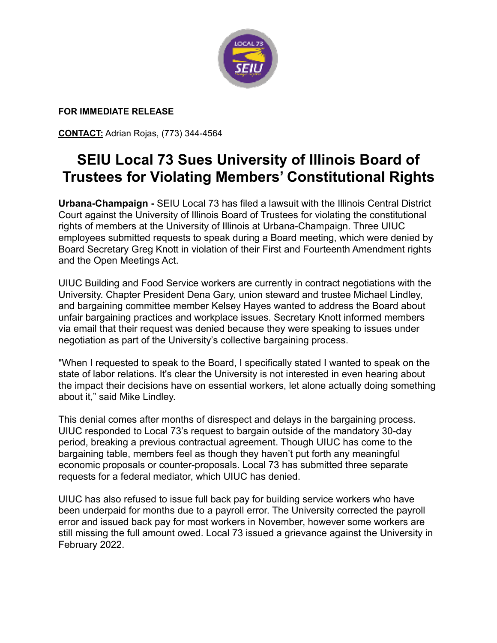

## **FOR IMMEDIATE RELEASE**

**CONTACT:** Adrian Rojas, (773) 344-4564

## **SEIU Local 73 Sues University of Illinois Board of Trustees for Violating Members' Constitutional Rights**

**Urbana-Champaign -** SEIU Local 73 has filed a lawsuit with the Illinois Central District Court against the University of Illinois Board of Trustees for violating the constitutional rights of members at the University of Illinois at Urbana-Champaign. Three UIUC employees submitted requests to speak during a Board meeting, which were denied by Board Secretary Greg Knott in violation of their First and Fourteenth Amendment rights and the Open Meetings Act.

UIUC Building and Food Service workers are currently in contract negotiations with the University. Chapter President Dena Gary, union steward and trustee Michael Lindley, and bargaining committee member Kelsey Hayes wanted to address the Board about unfair bargaining practices and workplace issues. Secretary Knott informed members via email that their request was denied because they were speaking to issues under negotiation as part of the University's collective bargaining process.

"When I requested to speak to the Board, I specifically stated I wanted to speak on the state of labor relations. It's clear the University is not interested in even hearing about the impact their decisions have on essential workers, let alone actually doing something about it," said Mike Lindley.

This denial comes after months of disrespect and delays in the bargaining process. UIUC responded to Local 73's request to bargain outside of the mandatory 30-day period, breaking a previous contractual agreement. Though UIUC has come to the bargaining table, members feel as though they haven't put forth any meaningful economic proposals or counter-proposals. Local 73 has submitted three separate requests for a federal mediator, which UIUC has denied.

UIUC has also refused to issue full back pay for building service workers who have been underpaid for months due to a payroll error. The University corrected the payroll error and issued back pay for most workers in November, however some workers are still missing the full amount owed. Local 73 issued a grievance against the University in February 2022.